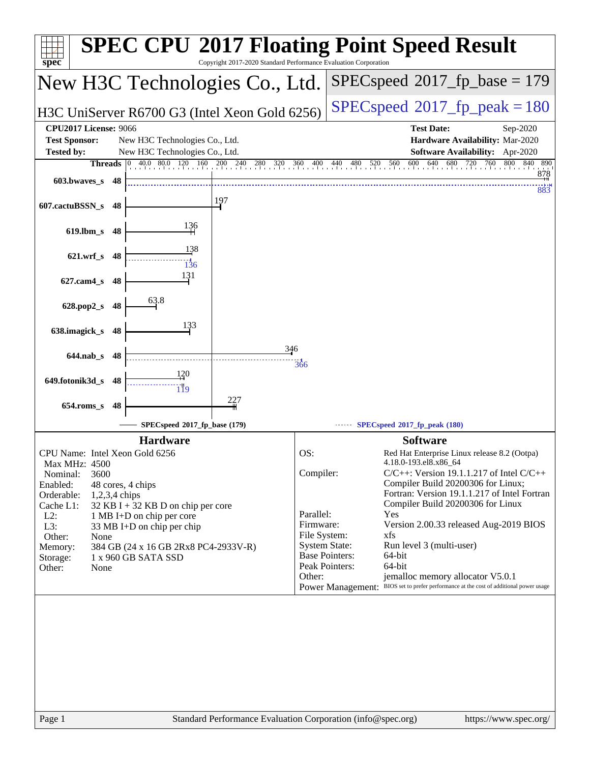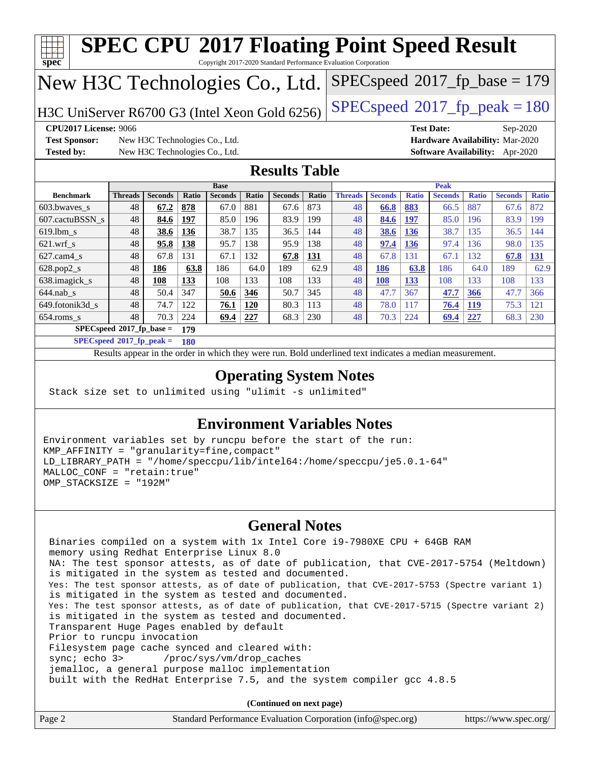| <b>SPEC CPU®2017 Floating Point Speed Result</b>                                                        |                                                                                                          |                                |       |                               |       |                |       |                |                |              |                               |              |                                        |              |
|---------------------------------------------------------------------------------------------------------|----------------------------------------------------------------------------------------------------------|--------------------------------|-------|-------------------------------|-------|----------------|-------|----------------|----------------|--------------|-------------------------------|--------------|----------------------------------------|--------------|
| Copyright 2017-2020 Standard Performance Evaluation Corporation<br>spec                                 |                                                                                                          |                                |       |                               |       |                |       |                |                |              |                               |              |                                        |              |
| $SPEC speed^{\circ}2017$ fp base = 179<br>New H3C Technologies Co., Ltd.                                |                                                                                                          |                                |       |                               |       |                |       |                |                |              |                               |              |                                        |              |
|                                                                                                         |                                                                                                          |                                |       |                               |       |                |       |                |                |              |                               |              |                                        |              |
| $SPEC speed^{\circ}2017$ _fp_peak = 180<br>H3C UniServer R6700 G3 (Intel Xeon Gold 6256)                |                                                                                                          |                                |       |                               |       |                |       |                |                |              |                               |              |                                        |              |
| <b>CPU2017 License: 9066</b>                                                                            |                                                                                                          |                                |       |                               |       |                |       |                |                |              | <b>Test Date:</b>             |              |                                        |              |
| $Sep-2020$<br><b>Test Sponsor:</b><br>Hardware Availability: Mar-2020<br>New H3C Technologies Co., Ltd. |                                                                                                          |                                |       |                               |       |                |       |                |                |              |                               |              |                                        |              |
| <b>Tested by:</b>                                                                                       |                                                                                                          | New H3C Technologies Co., Ltd. |       |                               |       |                |       |                |                |              |                               |              | <b>Software Availability:</b> Apr-2020 |              |
|                                                                                                         |                                                                                                          |                                |       |                               |       |                |       |                |                |              |                               |              |                                        |              |
| <b>Results Table</b>                                                                                    |                                                                                                          |                                |       |                               |       |                |       |                |                |              |                               |              |                                        |              |
| <b>Benchmark</b>                                                                                        | <b>Threads</b>                                                                                           | <b>Seconds</b>                 | Ratio | <b>Base</b><br><b>Seconds</b> | Ratio | <b>Seconds</b> | Ratio | <b>Threads</b> | <b>Seconds</b> | <b>Ratio</b> | <b>Peak</b><br><b>Seconds</b> | <b>Ratio</b> | <b>Seconds</b>                         | <b>Ratio</b> |
| 603.bwaves_s                                                                                            | 48                                                                                                       | 67.2                           | 878   | 67.0                          | 881   | 67.6           | 873   | 48             | 66.8           | 883          | 66.5                          | 887          | 67.6                                   | 872          |
| 607.cactuBSSN_s                                                                                         | 48                                                                                                       | 84.6                           | 197   | 85.0                          | 196   | 83.9           | 199   | 48             | 84.6           | 197          | 85.0                          | 196          | 83.9                                   | 199          |
| 619.lbm s                                                                                               | 48                                                                                                       | 38.6                           | 136   | 38.7                          | 135   | 36.5           | 144   | 48             | 38.6           | <b>136</b>   | 38.7                          | 135          | 36.5                                   | 144          |
| $621.wrf$ <sub>S</sub>                                                                                  | 48                                                                                                       | 95.8                           | 138   | 95.7                          | 138   | 95.9           | 138   | 48             | 97.4           | <b>136</b>   | 97.4                          | 136          | 98.0                                   | 135          |
| 627.cam4_s                                                                                              | 48                                                                                                       | 67.8                           | 131   | 67.1                          | 132   | 67.8           | 131   | 48             | 67.8           | 131          | 67.1                          | 132          | 67.8                                   | 131          |
| $628.pop2_s$                                                                                            | 48                                                                                                       | 186                            | 63.8  | 186                           | 64.0  | 189            | 62.9  | 48             | 186            | 63.8         | 186                           | 64.0         | 189                                    | 62.9         |
| 638.imagick_s                                                                                           | 48                                                                                                       | 108                            | 133   | 108                           | 133   | 108            | 133   | 48             | 108            | 133          | 108                           | 133          | 108                                    | 133          |
| $644$ .nab s                                                                                            | 48                                                                                                       | 50.4                           | 347   | 50.6                          | 346   | 50.7           | 345   | 48             | 47.7           | 367          | 47.7                          | 366          | 47.7                                   | 366          |
| 649.fotonik3d s                                                                                         | 48                                                                                                       | 74.7                           | 122   | 76.1                          | 120   | 80.3           | 113   | 48             | 78.0           | 117          | 76.4                          | <b>119</b>   | 75.3                                   | 121          |
| 654.roms_s                                                                                              | 48                                                                                                       | 70.3                           | 224   | 69.4                          | 227   | 68.3           | 230   | 48             | 70.3           | 224          | 69.4                          | 227          | 68.3                                   | 230          |
| $SPEC speed*2017_fp\_base =$<br>179                                                                     |                                                                                                          |                                |       |                               |       |                |       |                |                |              |                               |              |                                        |              |
| $SPECspeed*2017_fp\_peak =$<br>180                                                                      |                                                                                                          |                                |       |                               |       |                |       |                |                |              |                               |              |                                        |              |
|                                                                                                         | Results appear in the order in which they were run. Bold underlined text indicates a median measurement. |                                |       |                               |       |                |       |                |                |              |                               |              |                                        |              |

### **[Operating System Notes](http://www.spec.org/auto/cpu2017/Docs/result-fields.html#OperatingSystemNotes)**

Stack size set to unlimited using "ulimit -s unlimited"

#### **[Environment Variables Notes](http://www.spec.org/auto/cpu2017/Docs/result-fields.html#EnvironmentVariablesNotes)**

Environment variables set by runcpu before the start of the run: KMP\_AFFINITY = "granularity=fine,compact" LD\_LIBRARY\_PATH = "/home/speccpu/lib/intel64:/home/speccpu/je5.0.1-64" MALLOC\_CONF = "retain:true" OMP\_STACKSIZE = "192M"

#### **[General Notes](http://www.spec.org/auto/cpu2017/Docs/result-fields.html#GeneralNotes)**

 Binaries compiled on a system with 1x Intel Core i9-7980XE CPU + 64GB RAM memory using Redhat Enterprise Linux 8.0 NA: The test sponsor attests, as of date of publication, that CVE-2017-5754 (Meltdown) is mitigated in the system as tested and documented. Yes: The test sponsor attests, as of date of publication, that CVE-2017-5753 (Spectre variant 1) is mitigated in the system as tested and documented. Yes: The test sponsor attests, as of date of publication, that CVE-2017-5715 (Spectre variant 2) is mitigated in the system as tested and documented. Transparent Huge Pages enabled by default Prior to runcpu invocation Filesystem page cache synced and cleared with: sync; echo 3> /proc/sys/vm/drop\_caches jemalloc, a general purpose malloc implementation built with the RedHat Enterprise 7.5, and the system compiler gcc 4.8.5

**(Continued on next page)**

| Page 2 | Standard Performance Evaluation Corporation (info@spec.org) | https://www.spec.org/ |
|--------|-------------------------------------------------------------|-----------------------|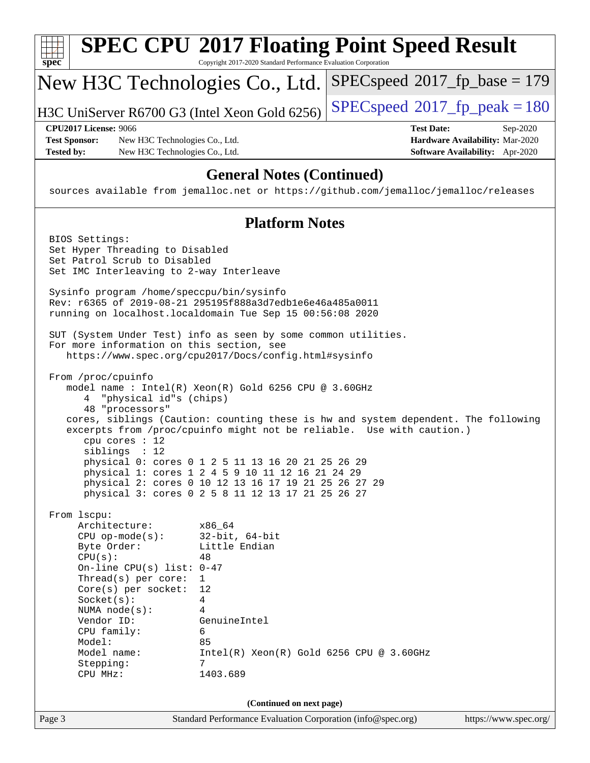| spec                                                                                                                                                                                                                                                                         | <b>SPEC CPU®2017 Floating Point Speed Result</b><br>Copyright 2017-2020 Standard Performance Evaluation Corporation                                                                                                                                                                                                                                                                                                                        |                                          |                                                                                       |
|------------------------------------------------------------------------------------------------------------------------------------------------------------------------------------------------------------------------------------------------------------------------------|--------------------------------------------------------------------------------------------------------------------------------------------------------------------------------------------------------------------------------------------------------------------------------------------------------------------------------------------------------------------------------------------------------------------------------------------|------------------------------------------|---------------------------------------------------------------------------------------|
| New H3C Technologies Co., Ltd.                                                                                                                                                                                                                                               |                                                                                                                                                                                                                                                                                                                                                                                                                                            | $SPEC speed^{\circ}2017\_fp\_base = 179$ |                                                                                       |
| H3C UniServer R6700 G3 (Intel Xeon Gold 6256)                                                                                                                                                                                                                                |                                                                                                                                                                                                                                                                                                                                                                                                                                            | $SPEC speed^{\circ}2017\_fp\_peak = 180$ |                                                                                       |
| <b>CPU2017 License: 9066</b><br><b>Test Sponsor:</b><br>New H3C Technologies Co., Ltd.<br><b>Tested by:</b><br>New H3C Technologies Co., Ltd.                                                                                                                                |                                                                                                                                                                                                                                                                                                                                                                                                                                            | <b>Test Date:</b>                        | Sep-2020<br>Hardware Availability: Mar-2020<br><b>Software Availability:</b> Apr-2020 |
| sources available from jemalloc.net or https://github.com/jemalloc/jemalloc/releases                                                                                                                                                                                         | <b>General Notes (Continued)</b>                                                                                                                                                                                                                                                                                                                                                                                                           |                                          |                                                                                       |
|                                                                                                                                                                                                                                                                              | <b>Platform Notes</b>                                                                                                                                                                                                                                                                                                                                                                                                                      |                                          |                                                                                       |
| BIOS Settings:<br>Set Hyper Threading to Disabled<br>Set Patrol Scrub to Disabled<br>Set IMC Interleaving to 2-way Interleave                                                                                                                                                |                                                                                                                                                                                                                                                                                                                                                                                                                                            |                                          |                                                                                       |
| Sysinfo program /home/speccpu/bin/sysinfo<br>Rev: r6365 of 2019-08-21 295195f888a3d7edble6e46a485a0011<br>running on localhost.localdomain Tue Sep 15 00:56:08 2020                                                                                                          |                                                                                                                                                                                                                                                                                                                                                                                                                                            |                                          |                                                                                       |
| SUT (System Under Test) info as seen by some common utilities.<br>For more information on this section, see                                                                                                                                                                  | https://www.spec.org/cpu2017/Docs/config.html#sysinfo                                                                                                                                                                                                                                                                                                                                                                                      |                                          |                                                                                       |
| From /proc/cpuinfo<br>4 "physical id"s (chips)<br>48 "processors"<br>cpu cores $: 12$<br>siblings : 12                                                                                                                                                                       | model name : Intel(R) Xeon(R) Gold 6256 CPU @ 3.60GHz<br>cores, siblings (Caution: counting these is hw and system dependent. The following<br>excerpts from /proc/cpuinfo might not be reliable. Use with caution.)<br>physical 0: cores 0 1 2 5 11 13 16 20 21 25 26 29<br>physical 1: cores 1 2 4 5 9 10 11 12 16 21 24 29<br>physical 2: cores 0 10 12 13 16 17 19 21 25 26 27 29<br>physical 3: cores 0 2 5 8 11 12 13 17 21 25 26 27 |                                          |                                                                                       |
| From 1scpu:<br>Architecture:<br>$CPU$ op-mode( $s$ ):<br>Byte Order:<br>CPU(s):<br>On-line CPU(s) list: $0-47$<br>Thread(s) per core:<br>$Core(s)$ per socket:<br>Socket(s):<br>NUMA node(s):<br>Vendor ID:<br>CPU family:<br>Model:<br>Model name:<br>Stepping:<br>CPU MHz: | x86_64<br>$32$ -bit, $64$ -bit<br>Little Endian<br>48<br>1<br>12<br>4<br>4<br>GenuineIntel<br>6<br>85<br>$Intel(R) Xeon(R) Gold 6256 CPU @ 3.60GHz$<br>7<br>1403.689                                                                                                                                                                                                                                                                       |                                          |                                                                                       |
|                                                                                                                                                                                                                                                                              | (Continued on next page)                                                                                                                                                                                                                                                                                                                                                                                                                   |                                          |                                                                                       |
| Page 3                                                                                                                                                                                                                                                                       | Standard Performance Evaluation Corporation (info@spec.org)                                                                                                                                                                                                                                                                                                                                                                                |                                          | https://www.spec.org/                                                                 |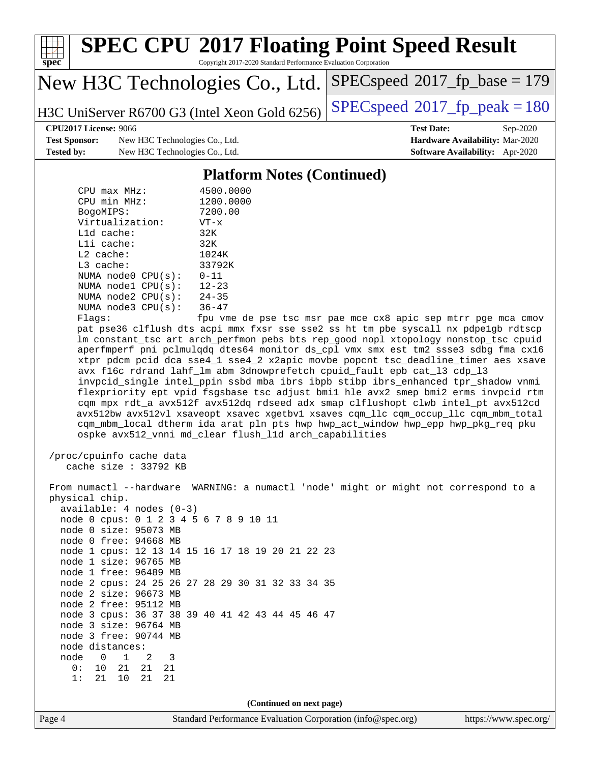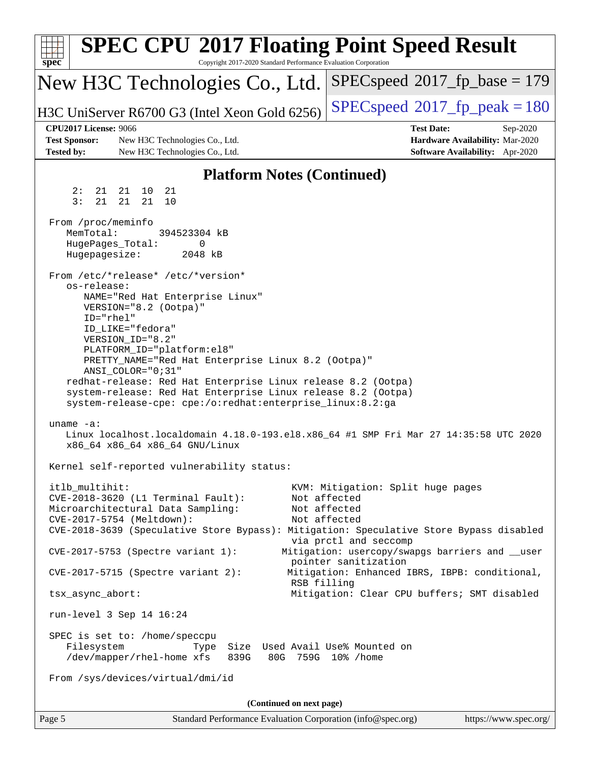| <b>SPEC CPU®2017 Floating Point Speed Result</b><br>spec <sup>®</sup><br>Copyright 2017-2020 Standard Performance Evaluation Corporation                                                                                                                                                                                                                                                                                                                                 |                                                                                                                                                                                       |
|--------------------------------------------------------------------------------------------------------------------------------------------------------------------------------------------------------------------------------------------------------------------------------------------------------------------------------------------------------------------------------------------------------------------------------------------------------------------------|---------------------------------------------------------------------------------------------------------------------------------------------------------------------------------------|
| New H3C Technologies Co., Ltd.                                                                                                                                                                                                                                                                                                                                                                                                                                           | $SPEC speed^{\circ}2017\_fp\_base = 179$                                                                                                                                              |
| H3C UniServer R6700 G3 (Intel Xeon Gold 6256)                                                                                                                                                                                                                                                                                                                                                                                                                            | $SPEC speed^{\circ}2017$ fp peak = 180                                                                                                                                                |
| <b>CPU2017 License: 9066</b><br><b>Test Sponsor:</b><br>New H3C Technologies Co., Ltd.<br><b>Tested by:</b><br>New H3C Technologies Co., Ltd.                                                                                                                                                                                                                                                                                                                            | <b>Test Date:</b><br>Sep-2020<br>Hardware Availability: Mar-2020<br>Software Availability: Apr-2020                                                                                   |
| <b>Platform Notes (Continued)</b>                                                                                                                                                                                                                                                                                                                                                                                                                                        |                                                                                                                                                                                       |
| 21<br>2:<br>21<br>21 10                                                                                                                                                                                                                                                                                                                                                                                                                                                  |                                                                                                                                                                                       |
| 3:<br>21<br>21<br>21<br>10                                                                                                                                                                                                                                                                                                                                                                                                                                               |                                                                                                                                                                                       |
| From /proc/meminfo<br>MemTotal:<br>394523304 KB<br>HugePages_Total:<br>0<br>Hugepagesize:<br>2048 kB                                                                                                                                                                                                                                                                                                                                                                     |                                                                                                                                                                                       |
| From /etc/*release* /etc/*version*<br>os-release:<br>NAME="Red Hat Enterprise Linux"<br>VERSION="8.2 (Ootpa)"<br>ID="rhel"<br>ID_LIKE="fedora"<br>VERSION_ID="8.2"<br>PLATFORM_ID="platform:el8"<br>PRETTY_NAME="Red Hat Enterprise Linux 8.2 (Ootpa)"<br>ANSI_COLOR="0;31"<br>redhat-release: Red Hat Enterprise Linux release 8.2 (Ootpa)<br>system-release: Red Hat Enterprise Linux release 8.2 (Ootpa)<br>system-release-cpe: cpe:/o:redhat:enterprise_linux:8.2:ga |                                                                                                                                                                                       |
| uname $-a$ :<br>Linux localhost.localdomain 4.18.0-193.el8.x86_64 #1 SMP Fri Mar 27 14:35:58 UTC 2020<br>x86_64 x86_64 x86_64 GNU/Linux                                                                                                                                                                                                                                                                                                                                  |                                                                                                                                                                                       |
| Kernel self-reported vulnerability status:                                                                                                                                                                                                                                                                                                                                                                                                                               |                                                                                                                                                                                       |
| itlb_multihit:<br>CVE-2018-3620 (L1 Terminal Fault):<br>Microarchitectural Data Sampling:<br>CVE-2017-5754 (Meltdown):<br>CVE-2018-3639 (Speculative Store Bypass): Mitigation: Speculative Store Bypass disabled<br>CVE-2017-5753 (Spectre variant 1):                                                                                                                                                                                                                  | KVM: Mitigation: Split huge pages<br>Not affected<br>Not affected<br>Not affected<br>via prctl and seccomp<br>Mitigation: usercopy/swapgs barriers and __user<br>pointer sanitization |
| $CVE-2017-5715$ (Spectre variant 2):<br>RSB filling                                                                                                                                                                                                                                                                                                                                                                                                                      | Mitigation: Enhanced IBRS, IBPB: conditional,                                                                                                                                         |
| tsx_async_abort:                                                                                                                                                                                                                                                                                                                                                                                                                                                         | Mitigation: Clear CPU buffers; SMT disabled                                                                                                                                           |
| run-level 3 Sep 14 16:24                                                                                                                                                                                                                                                                                                                                                                                                                                                 |                                                                                                                                                                                       |
| SPEC is set to: /home/speccpu<br>Filesystem<br>Size Used Avail Use% Mounted on<br>Type<br>/dev/mapper/rhel-home xfs<br>839G<br>From /sys/devices/virtual/dmi/id                                                                                                                                                                                                                                                                                                          | 80G 759G 10% / home                                                                                                                                                                   |
|                                                                                                                                                                                                                                                                                                                                                                                                                                                                          |                                                                                                                                                                                       |
| (Continued on next page)<br>Page 5<br>Standard Performance Evaluation Corporation (info@spec.org)                                                                                                                                                                                                                                                                                                                                                                        | https://www.spec.org/                                                                                                                                                                 |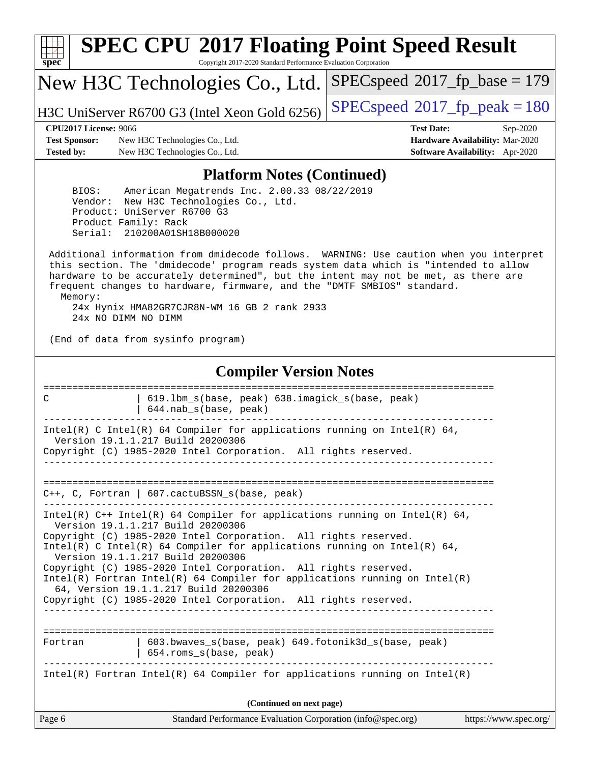| s<br>c | n | æ | C |  |
|--------|---|---|---|--|

# **[SPEC CPU](http://www.spec.org/auto/cpu2017/Docs/result-fields.html#SPECCPU2017FloatingPointSpeedResult)[2017 Floating Point Speed Result](http://www.spec.org/auto/cpu2017/Docs/result-fields.html#SPECCPU2017FloatingPointSpeedResult)**

Copyright 2017-2020 Standard Performance Evaluation Corporation

New H3C Technologies Co., Ltd.

H3C UniServer R6700 G3 (Intel Xeon Gold 6256) [SPECspeed](http://www.spec.org/auto/cpu2017/Docs/result-fields.html#SPECspeed2017fppeak)<sup>®</sup>[2017\\_fp\\_peak = 1](http://www.spec.org/auto/cpu2017/Docs/result-fields.html#SPECspeed2017fppeak)80

[SPECspeed](http://www.spec.org/auto/cpu2017/Docs/result-fields.html#SPECspeed2017fpbase)<sup>®</sup>2017 fp base = 179

**[Test Sponsor:](http://www.spec.org/auto/cpu2017/Docs/result-fields.html#TestSponsor)** New H3C Technologies Co., Ltd. **[Hardware Availability:](http://www.spec.org/auto/cpu2017/Docs/result-fields.html#HardwareAvailability)** Mar-2020 **[Tested by:](http://www.spec.org/auto/cpu2017/Docs/result-fields.html#Testedby)** New H3C Technologies Co., Ltd. **[Software Availability:](http://www.spec.org/auto/cpu2017/Docs/result-fields.html#SoftwareAvailability)** Apr-2020

**[CPU2017 License:](http://www.spec.org/auto/cpu2017/Docs/result-fields.html#CPU2017License)** 9066 **[Test Date:](http://www.spec.org/auto/cpu2017/Docs/result-fields.html#TestDate)** Sep-2020

#### **[Platform Notes \(Continued\)](http://www.spec.org/auto/cpu2017/Docs/result-fields.html#PlatformNotes)**

 BIOS: American Megatrends Inc. 2.00.33 08/22/2019 Vendor: New H3C Technologies Co., Ltd. Product: UniServer R6700 G3 Product Family: Rack Serial: 210200A01SH18B000020

 Additional information from dmidecode follows. WARNING: Use caution when you interpret this section. The 'dmidecode' program reads system data which is "intended to allow hardware to be accurately determined", but the intent may not be met, as there are frequent changes to hardware, firmware, and the "DMTF SMBIOS" standard. Memory: 24x Hynix HMA82GR7CJR8N-WM 16 GB 2 rank 2933

24x NO DIMM NO DIMM

(End of data from sysinfo program)

#### **[Compiler Version Notes](http://www.spec.org/auto/cpu2017/Docs/result-fields.html#CompilerVersionNotes)**

| 619.1bm_s(base, peak) 638.imagick_s(base, peak)<br>C<br>$644.nab_s(base, peak)$                                                                                                        |
|----------------------------------------------------------------------------------------------------------------------------------------------------------------------------------------|
| Intel(R) C Intel(R) 64 Compiler for applications running on Intel(R) 64,<br>Version 19.1.1.217 Build 20200306                                                                          |
| Copyright (C) 1985-2020 Intel Corporation. All rights reserved.                                                                                                                        |
| $C_{++}$ , C, Fortran   607. cactuBSSN s(base, peak)                                                                                                                                   |
| Intel(R) $C++$ Intel(R) 64 Compiler for applications running on Intel(R) 64,<br>Version 19.1.1.217 Build 20200306                                                                      |
| Copyright (C) 1985-2020 Intel Corporation. All rights reserved.<br>Intel(R) C Intel(R) 64 Compiler for applications running on Intel(R) 64,<br>Version 19.1.1.217 Build 20200306       |
| Copyright (C) 1985-2020 Intel Corporation. All rights reserved.<br>Intel(R) Fortran Intel(R) 64 Compiler for applications running on Intel(R)<br>64, Version 19.1.1.217 Build 20200306 |
| Copyright (C) 1985-2020 Intel Corporation. All rights reserved.                                                                                                                        |
| 603.bwaves s(base, peak) 649.fotonik3d s(base, peak)<br>Fortran                                                                                                                        |
| 654.roms_s(base, peak)                                                                                                                                                                 |
| Intel(R) Fortran Intel(R) 64 Compiler for applications running on Intel(R)                                                                                                             |
| (Continued on next page)                                                                                                                                                               |
| Page 6<br>Standard Performance Evaluation Corporation (info@spec.org)<br>https://www.spec.org/                                                                                         |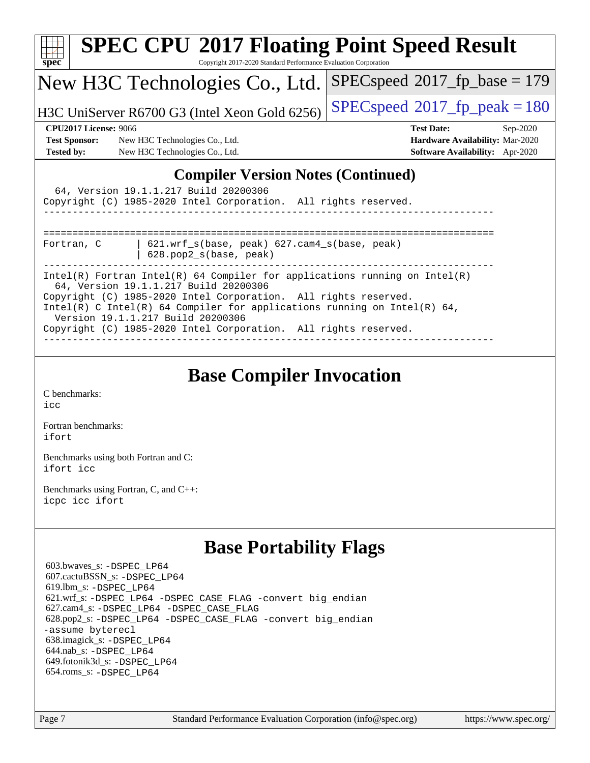| <b>SPEC CPU®2017 Floating Point Speed Result</b><br>Copyright 2017-2020 Standard Performance Evaluation Corporation<br>spec <sup>®</sup>                                                                                                                                                                                                                                   |                                          |
|----------------------------------------------------------------------------------------------------------------------------------------------------------------------------------------------------------------------------------------------------------------------------------------------------------------------------------------------------------------------------|------------------------------------------|
| New H3C Technologies Co., Ltd.                                                                                                                                                                                                                                                                                                                                             | $SPEC speed^{\circ}2017\_fp\_base = 179$ |
| H3C UniServer R6700 G3 (Intel Xeon Gold 6256)                                                                                                                                                                                                                                                                                                                              | $SPEC speed^{\circ}2017$ _fp_peak = 180  |
| <b>CPU2017 License: 9066</b>                                                                                                                                                                                                                                                                                                                                               | <b>Test Date:</b><br>$Sep-2020$          |
| <b>Test Sponsor:</b><br>New H3C Technologies Co., Ltd.                                                                                                                                                                                                                                                                                                                     | Hardware Availability: Mar-2020          |
| <b>Tested by:</b><br>New H3C Technologies Co., Ltd.                                                                                                                                                                                                                                                                                                                        | <b>Software Availability:</b> Apr-2020   |
| 64, Version 19.1.1.217 Build 20200306<br>Copyright (C) 1985-2020 Intel Corporation. All rights reserved.                                                                                                                                                                                                                                                                   |                                          |
| $621.wrf_s(base, peak)$ $627.cam4_s(base, peak)$<br>Fortran, C<br>628.pop2_s(base, peak)                                                                                                                                                                                                                                                                                   |                                          |
| Intel(R) Fortran Intel(R) 64 Compiler for applications running on Intel(R)<br>64, Version 19.1.1.217 Build 20200306<br>Copyright (C) 1985-2020 Intel Corporation. All rights reserved.<br>Intel(R) C Intel(R) 64 Compiler for applications running on Intel(R) 64,<br>Version 19.1.1.217 Build 20200306<br>Copyright (C) 1985-2020 Intel Corporation. All rights reserved. |                                          |

## **[Base Compiler Invocation](http://www.spec.org/auto/cpu2017/Docs/result-fields.html#BaseCompilerInvocation)**

[C benchmarks](http://www.spec.org/auto/cpu2017/Docs/result-fields.html#Cbenchmarks): [icc](http://www.spec.org/cpu2017/results/res2020q4/cpu2017-20200927-24021.flags.html#user_CCbase_intel_icc_66fc1ee009f7361af1fbd72ca7dcefbb700085f36577c54f309893dd4ec40d12360134090235512931783d35fd58c0460139e722d5067c5574d8eaf2b3e37e92)

[Fortran benchmarks](http://www.spec.org/auto/cpu2017/Docs/result-fields.html#Fortranbenchmarks): [ifort](http://www.spec.org/cpu2017/results/res2020q4/cpu2017-20200927-24021.flags.html#user_FCbase_intel_ifort_8111460550e3ca792625aed983ce982f94888b8b503583aa7ba2b8303487b4d8a21a13e7191a45c5fd58ff318f48f9492884d4413fa793fd88dd292cad7027ca)

[Benchmarks using both Fortran and C](http://www.spec.org/auto/cpu2017/Docs/result-fields.html#BenchmarksusingbothFortranandC): [ifort](http://www.spec.org/cpu2017/results/res2020q4/cpu2017-20200927-24021.flags.html#user_CC_FCbase_intel_ifort_8111460550e3ca792625aed983ce982f94888b8b503583aa7ba2b8303487b4d8a21a13e7191a45c5fd58ff318f48f9492884d4413fa793fd88dd292cad7027ca) [icc](http://www.spec.org/cpu2017/results/res2020q4/cpu2017-20200927-24021.flags.html#user_CC_FCbase_intel_icc_66fc1ee009f7361af1fbd72ca7dcefbb700085f36577c54f309893dd4ec40d12360134090235512931783d35fd58c0460139e722d5067c5574d8eaf2b3e37e92)

[Benchmarks using Fortran, C, and C++:](http://www.spec.org/auto/cpu2017/Docs/result-fields.html#BenchmarksusingFortranCandCXX) [icpc](http://www.spec.org/cpu2017/results/res2020q4/cpu2017-20200927-24021.flags.html#user_CC_CXX_FCbase_intel_icpc_c510b6838c7f56d33e37e94d029a35b4a7bccf4766a728ee175e80a419847e808290a9b78be685c44ab727ea267ec2f070ec5dc83b407c0218cded6866a35d07) [icc](http://www.spec.org/cpu2017/results/res2020q4/cpu2017-20200927-24021.flags.html#user_CC_CXX_FCbase_intel_icc_66fc1ee009f7361af1fbd72ca7dcefbb700085f36577c54f309893dd4ec40d12360134090235512931783d35fd58c0460139e722d5067c5574d8eaf2b3e37e92) [ifort](http://www.spec.org/cpu2017/results/res2020q4/cpu2017-20200927-24021.flags.html#user_CC_CXX_FCbase_intel_ifort_8111460550e3ca792625aed983ce982f94888b8b503583aa7ba2b8303487b4d8a21a13e7191a45c5fd58ff318f48f9492884d4413fa793fd88dd292cad7027ca)

## **[Base Portability Flags](http://www.spec.org/auto/cpu2017/Docs/result-fields.html#BasePortabilityFlags)**

 603.bwaves\_s: [-DSPEC\\_LP64](http://www.spec.org/cpu2017/results/res2020q4/cpu2017-20200927-24021.flags.html#suite_basePORTABILITY603_bwaves_s_DSPEC_LP64) 607.cactuBSSN\_s: [-DSPEC\\_LP64](http://www.spec.org/cpu2017/results/res2020q4/cpu2017-20200927-24021.flags.html#suite_basePORTABILITY607_cactuBSSN_s_DSPEC_LP64) 619.lbm\_s: [-DSPEC\\_LP64](http://www.spec.org/cpu2017/results/res2020q4/cpu2017-20200927-24021.flags.html#suite_basePORTABILITY619_lbm_s_DSPEC_LP64) 621.wrf\_s: [-DSPEC\\_LP64](http://www.spec.org/cpu2017/results/res2020q4/cpu2017-20200927-24021.flags.html#suite_basePORTABILITY621_wrf_s_DSPEC_LP64) [-DSPEC\\_CASE\\_FLAG](http://www.spec.org/cpu2017/results/res2020q4/cpu2017-20200927-24021.flags.html#b621.wrf_s_baseCPORTABILITY_DSPEC_CASE_FLAG) [-convert big\\_endian](http://www.spec.org/cpu2017/results/res2020q4/cpu2017-20200927-24021.flags.html#user_baseFPORTABILITY621_wrf_s_convert_big_endian_c3194028bc08c63ac5d04de18c48ce6d347e4e562e8892b8bdbdc0214820426deb8554edfa529a3fb25a586e65a3d812c835984020483e7e73212c4d31a38223) 627.cam4\_s: [-DSPEC\\_LP64](http://www.spec.org/cpu2017/results/res2020q4/cpu2017-20200927-24021.flags.html#suite_basePORTABILITY627_cam4_s_DSPEC_LP64) [-DSPEC\\_CASE\\_FLAG](http://www.spec.org/cpu2017/results/res2020q4/cpu2017-20200927-24021.flags.html#b627.cam4_s_baseCPORTABILITY_DSPEC_CASE_FLAG) 628.pop2\_s: [-DSPEC\\_LP64](http://www.spec.org/cpu2017/results/res2020q4/cpu2017-20200927-24021.flags.html#suite_basePORTABILITY628_pop2_s_DSPEC_LP64) [-DSPEC\\_CASE\\_FLAG](http://www.spec.org/cpu2017/results/res2020q4/cpu2017-20200927-24021.flags.html#b628.pop2_s_baseCPORTABILITY_DSPEC_CASE_FLAG) [-convert big\\_endian](http://www.spec.org/cpu2017/results/res2020q4/cpu2017-20200927-24021.flags.html#user_baseFPORTABILITY628_pop2_s_convert_big_endian_c3194028bc08c63ac5d04de18c48ce6d347e4e562e8892b8bdbdc0214820426deb8554edfa529a3fb25a586e65a3d812c835984020483e7e73212c4d31a38223) [-assume byterecl](http://www.spec.org/cpu2017/results/res2020q4/cpu2017-20200927-24021.flags.html#user_baseFPORTABILITY628_pop2_s_assume_byterecl_7e47d18b9513cf18525430bbf0f2177aa9bf368bc7a059c09b2c06a34b53bd3447c950d3f8d6c70e3faf3a05c8557d66a5798b567902e8849adc142926523472) 638.imagick\_s: [-DSPEC\\_LP64](http://www.spec.org/cpu2017/results/res2020q4/cpu2017-20200927-24021.flags.html#suite_basePORTABILITY638_imagick_s_DSPEC_LP64) 644.nab\_s: [-DSPEC\\_LP64](http://www.spec.org/cpu2017/results/res2020q4/cpu2017-20200927-24021.flags.html#suite_basePORTABILITY644_nab_s_DSPEC_LP64) 649.fotonik3d\_s: [-DSPEC\\_LP64](http://www.spec.org/cpu2017/results/res2020q4/cpu2017-20200927-24021.flags.html#suite_basePORTABILITY649_fotonik3d_s_DSPEC_LP64) 654.roms\_s: [-DSPEC\\_LP64](http://www.spec.org/cpu2017/results/res2020q4/cpu2017-20200927-24021.flags.html#suite_basePORTABILITY654_roms_s_DSPEC_LP64)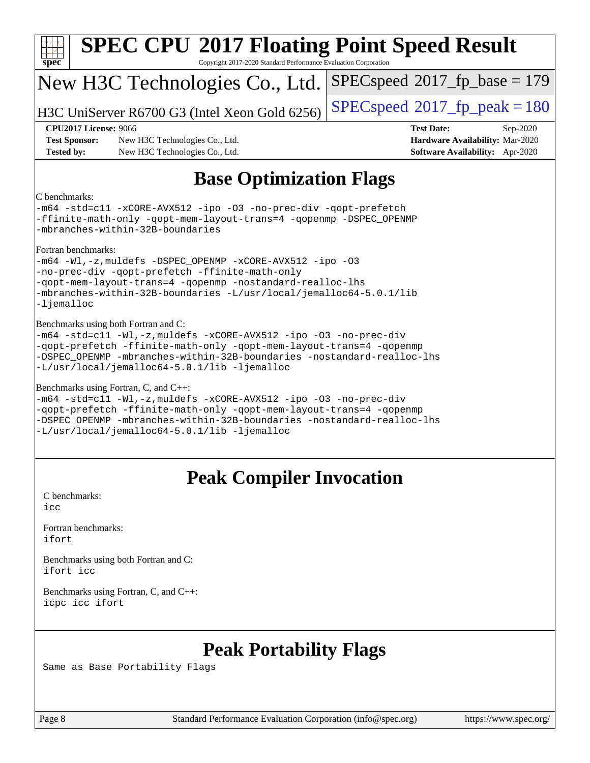| <b>SPEC CPU®2017 Floating Point Speed Result</b><br>Copyright 2017-2020 Standard Performance Evaluation Corporation<br>$spec^*$                                                                                                                                                                             |                                                                                                     |
|-------------------------------------------------------------------------------------------------------------------------------------------------------------------------------------------------------------------------------------------------------------------------------------------------------------|-----------------------------------------------------------------------------------------------------|
| New H3C Technologies Co., Ltd.                                                                                                                                                                                                                                                                              | $SPEC speed^{\circ}2017\_fp\_base = 179$                                                            |
| H3C UniServer R6700 G3 (Intel Xeon Gold 6256)                                                                                                                                                                                                                                                               | $SPEC speed^{\circ}2017$ fp peak = 180                                                              |
| <b>CPU2017 License: 9066</b><br><b>Test Sponsor:</b><br>New H3C Technologies Co., Ltd.<br><b>Tested by:</b><br>New H3C Technologies Co., Ltd.                                                                                                                                                               | <b>Test Date:</b><br>Sep-2020<br>Hardware Availability: Mar-2020<br>Software Availability: Apr-2020 |
| <b>Base Optimization Flags</b>                                                                                                                                                                                                                                                                              |                                                                                                     |
| C benchmarks:<br>-m64 -std=cl1 -xCORE-AVX512 -ipo -03 -no-prec-div -qopt-prefetch<br>-ffinite-math-only -qopt-mem-layout-trans=4 -qopenmp -DSPEC_OPENMP<br>-mbranches-within-32B-boundaries                                                                                                                 |                                                                                                     |
| Fortran benchmarks:<br>-m64 -Wl,-z, muldefs -DSPEC_OPENMP -xCORE-AVX512 -ipo -03<br>-no-prec-div -qopt-prefetch -ffinite-math-only<br>-qopt-mem-layout-trans=4 -qopenmp -nostandard-realloc-lhs<br>-mbranches-within-32B-boundaries -L/usr/local/jemalloc64-5.0.1/lib<br>-ljemalloc                         |                                                                                                     |
| Benchmarks using both Fortran and C:<br>-m64 -std=cl1 -Wl,-z, muldefs -xCORE-AVX512 -ipo -03 -no-prec-div<br>-qopt-prefetch -ffinite-math-only -qopt-mem-layout-trans=4 -qopenmp<br>-DSPEC OPENMP -mbranches-within-32B-boundaries -nostandard-realloc-lhs<br>-L/usr/local/jemalloc64-5.0.1/lib -ljemalloc  |                                                                                                     |
| Benchmarks using Fortran, C, and C++:<br>-m64 -std=c11 -Wl,-z, muldefs -xCORE-AVX512 -ipo -03 -no-prec-div<br>-qopt-prefetch -ffinite-math-only -qopt-mem-layout-trans=4 -qopenmp<br>-DSPEC OPENMP -mbranches-within-32B-boundaries -nostandard-realloc-lhs<br>-L/usr/local/jemalloc64-5.0.1/lib -ljemalloc |                                                                                                     |
| <b>Peak Compiler Invocation</b>                                                                                                                                                                                                                                                                             |                                                                                                     |
| C benchmarks:<br>icc                                                                                                                                                                                                                                                                                        |                                                                                                     |
| Fortran benchmarks:<br>ifort                                                                                                                                                                                                                                                                                |                                                                                                     |
| Benchmarks using both Fortran and C:<br>ifort icc                                                                                                                                                                                                                                                           |                                                                                                     |
| Benchmarks using Fortran, C, and C++:<br>icpc icc ifort                                                                                                                                                                                                                                                     |                                                                                                     |
|                                                                                                                                                                                                                                                                                                             |                                                                                                     |

## **[Peak Portability Flags](http://www.spec.org/auto/cpu2017/Docs/result-fields.html#PeakPortabilityFlags)**

Same as Base Portability Flags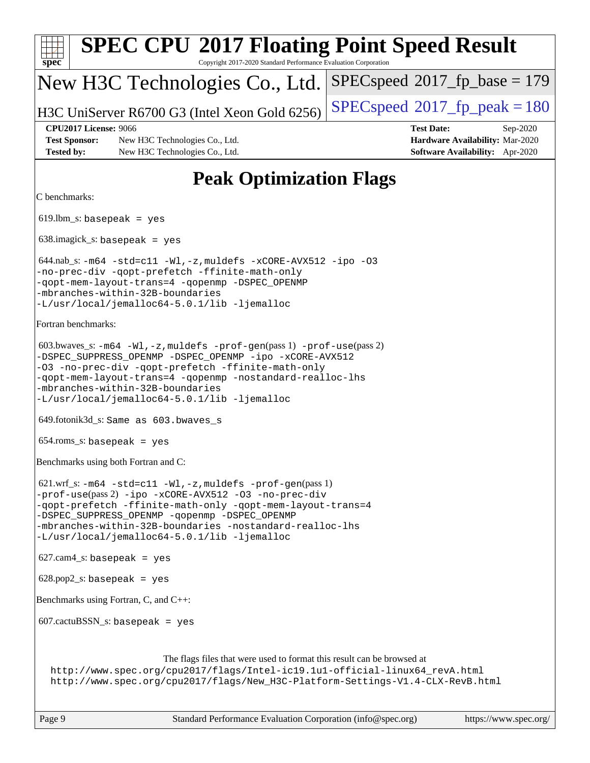| <b>SPEC CPU®2017 Floating Point Speed Result</b><br>Copyright 2017-2020 Standard Performance Evaluation Corporation<br>$spec^*$                                                                                                                                                                                                                  |                                                                                                            |
|--------------------------------------------------------------------------------------------------------------------------------------------------------------------------------------------------------------------------------------------------------------------------------------------------------------------------------------------------|------------------------------------------------------------------------------------------------------------|
| New H3C Technologies Co., Ltd.                                                                                                                                                                                                                                                                                                                   | $SPEC speed^{\circ}2017\_fp\_base = 179$                                                                   |
| H3C UniServer R6700 G3 (Intel Xeon Gold 6256)                                                                                                                                                                                                                                                                                                    | $SPEC speed^{\circ}2017$ _fp_peak = 180                                                                    |
| <b>CPU2017 License: 9066</b><br><b>Test Sponsor:</b><br>New H3C Technologies Co., Ltd.<br><b>Tested by:</b><br>New H3C Technologies Co., Ltd.                                                                                                                                                                                                    | <b>Test Date:</b><br>Sep-2020<br>Hardware Availability: Mar-2020<br><b>Software Availability:</b> Apr-2020 |
| <b>Peak Optimization Flags</b>                                                                                                                                                                                                                                                                                                                   |                                                                                                            |
| C benchmarks:                                                                                                                                                                                                                                                                                                                                    |                                                                                                            |
| $619.$ lbm_s: basepeak = yes                                                                                                                                                                                                                                                                                                                     |                                                                                                            |
| $638.\text{imagek}_s:$ basepeak = yes                                                                                                                                                                                                                                                                                                            |                                                                                                            |
| $644.nab$ <sub>s</sub> : $-m64$ $-std=cl1$ $-Wl$ , $-z$ , muldefs $-xCORE$ -AVX512 $-ipo$ -03<br>-no-prec-div -qopt-prefetch -ffinite-math-only<br>-qopt-mem-layout-trans=4 -qopenmp -DSPEC_OPENMP<br>-mbranches-within-32B-boundaries<br>-L/usr/local/jemalloc64-5.0.1/lib -ljemalloc                                                           |                                                                                                            |
| Fortran benchmarks:                                                                                                                                                                                                                                                                                                                              |                                                                                                            |
| $603.bwaves$ $s: -m64 -W1, -z$ , muldefs $-prof-gen(pass 1) -prof-use(pass 2)$<br>-DSPEC_SUPPRESS_OPENMP -DSPEC_OPENMP -ipo -xCORE-AVX512<br>-03 -no-prec-div -qopt-prefetch -ffinite-math-only<br>-qopt-mem-layout-trans=4 -qopenmp -nostandard-realloc-lhs<br>-mbranches-within-32B-boundaries<br>-L/usr/local/jemalloc64-5.0.1/lib -ljemalloc |                                                                                                            |
| 649.fotonik3d_s: Same as 603.bwaves_s                                                                                                                                                                                                                                                                                                            |                                                                                                            |
| $654$ .roms_s: basepeak = yes                                                                                                                                                                                                                                                                                                                    |                                                                                                            |
| Benchmarks using both Fortran and C:                                                                                                                                                                                                                                                                                                             |                                                                                                            |
| 621.wrf_s: -m64 -std=c11 -Wl, -z, muldefs -prof-gen(pass 1)<br>-prof-use(pass 2) -ipo -xCORE-AVX512 -03 -no-prec-div<br>-qopt-prefetch -ffinite-math-only -qopt-mem-layout-trans=4<br>-DSPEC_SUPPRESS_OPENMP -qopenmp -DSPEC_OPENMP<br>-mbranches-within-32B-boundaries -nostandard-realloc-lhs<br>-L/usr/local/jemalloc64-5.0.1/lib -ljemalloc  |                                                                                                            |
| $627.cam4_s$ : basepeak = yes                                                                                                                                                                                                                                                                                                                    |                                                                                                            |
| $628.pop2_s: basepeak = yes$                                                                                                                                                                                                                                                                                                                     |                                                                                                            |
| Benchmarks using Fortran, C, and C++:                                                                                                                                                                                                                                                                                                            |                                                                                                            |
| $607.cactuBSSN_s$ : basepeak = yes                                                                                                                                                                                                                                                                                                               |                                                                                                            |
| The flags files that were used to format this result can be browsed at<br>http://www.spec.org/cpu2017/flags/Intel-ic19.1u1-official-linux64_revA.html<br>http://www.spec.org/cpu2017/flags/New_H3C-Platform-Settings-V1.4-CLX-RevB.html                                                                                                          |                                                                                                            |